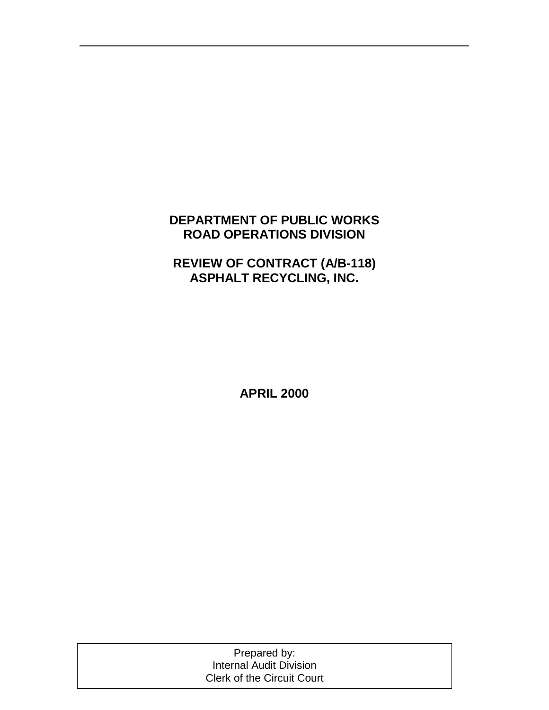# **DEPARTMENT OF PUBLIC WORKS ROAD OPERATIONS DIVISION**

# **REVIEW OF CONTRACT (A/B-118) ASPHALT RECYCLING, INC.**

**APRIL 2000** 

Prepared by: Internal Audit Division Clerk of the Circuit Court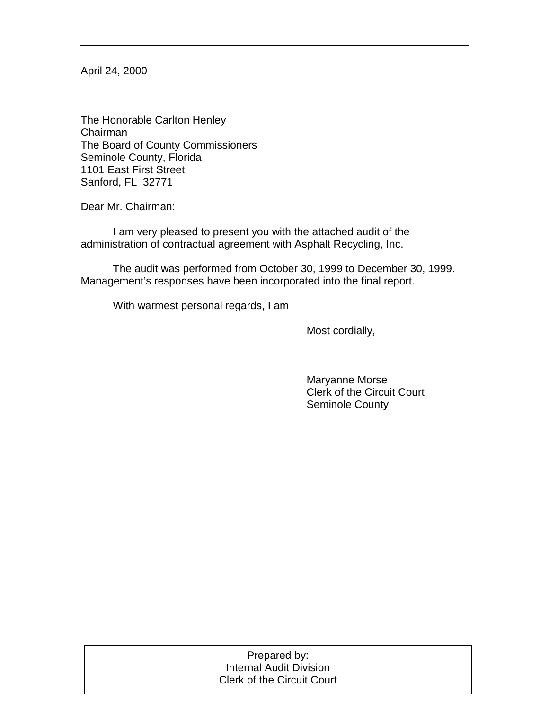April 24, 2000

The Honorable Carlton Henley Chairman The Board of County Commissioners Seminole County, Florida 1101 East First Street Sanford, FL 32771

Dear Mr. Chairman:

 I am very pleased to present you with the attached audit of the administration of contractual agreement with Asphalt Recycling, Inc.

 The audit was performed from October 30, 1999 to December 30, 1999. Management's responses have been incorporated into the final report.

With warmest personal regards, I am

Most cordially,

 Maryanne Morse Clerk of the Circuit Court Seminole County

| Prepared by:<br>Internal Audit Division |
|-----------------------------------------|
| <b>Clerk of the Circuit Court</b>       |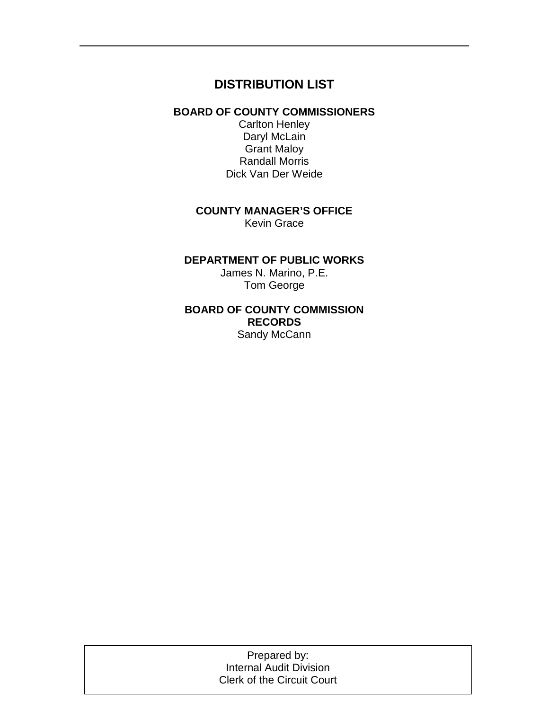# **DISTRIBUTION LIST**

### **BOARD OF COUNTY COMMISSIONERS**

Carlton Henley Daryl McLain Grant Maloy Randall Morris Dick Van Der Weide

# **COUNTY MANAGER'S OFFICE**

Kevin Grace

### **DEPARTMENT OF PUBLIC WORKS**

James N. Marino, P.E. Tom George

### **BOARD OF COUNTY COMMISSION RECORDS**  Sandy McCann

Prepared by: Prepared by: Internal Audit Division Internal Audit Division Clerk of the Circuit Court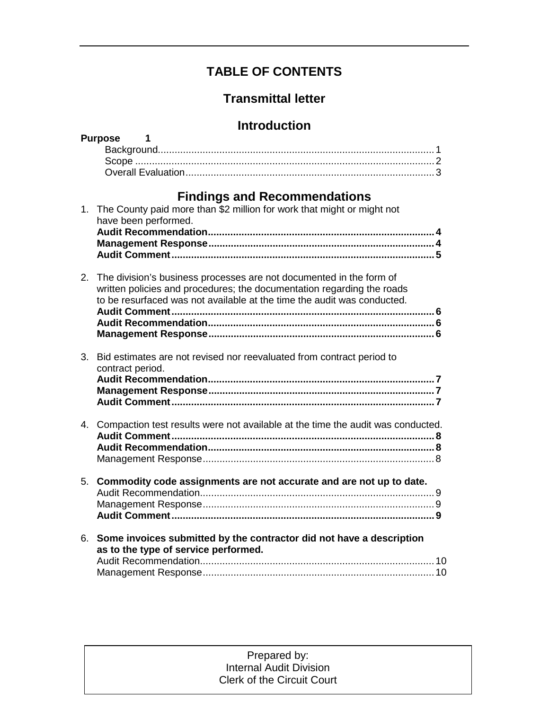# **TABLE OF CONTENTS**

# **Transmittal letter**

# **Introduction**

|                | <b>Purpose</b><br>1                                                                                                                               |  |
|----------------|---------------------------------------------------------------------------------------------------------------------------------------------------|--|
|                |                                                                                                                                                   |  |
|                |                                                                                                                                                   |  |
|                |                                                                                                                                                   |  |
|                | <b>Findings and Recommendations</b>                                                                                                               |  |
| 1.             | The County paid more than \$2 million for work that might or might not                                                                            |  |
|                | have been performed.                                                                                                                              |  |
|                |                                                                                                                                                   |  |
|                |                                                                                                                                                   |  |
|                |                                                                                                                                                   |  |
| 2.             | The division's business processes are not documented in the form of                                                                               |  |
|                | written policies and procedures; the documentation regarding the roads<br>to be resurfaced was not available at the time the audit was conducted. |  |
|                |                                                                                                                                                   |  |
|                |                                                                                                                                                   |  |
|                |                                                                                                                                                   |  |
|                |                                                                                                                                                   |  |
| 3 <sub>1</sub> | Bid estimates are not revised nor reevaluated from contract period to<br>contract period.                                                         |  |
|                |                                                                                                                                                   |  |
|                |                                                                                                                                                   |  |
|                |                                                                                                                                                   |  |
| 4.             | Compaction test results were not available at the time the audit was conducted.                                                                   |  |
|                |                                                                                                                                                   |  |
|                |                                                                                                                                                   |  |
|                |                                                                                                                                                   |  |
| 5.             | Commodity code assignments are not accurate and are not up to date.                                                                               |  |
|                |                                                                                                                                                   |  |
|                |                                                                                                                                                   |  |
|                |                                                                                                                                                   |  |
| 6.             | Some invoices submitted by the contractor did not have a description                                                                              |  |
|                | as to the type of service performed.                                                                                                              |  |
|                |                                                                                                                                                   |  |
|                |                                                                                                                                                   |  |

#### Prepared by: Prepared by: Internal Audit Division Internal Audit Division Clerk of the Circuit Court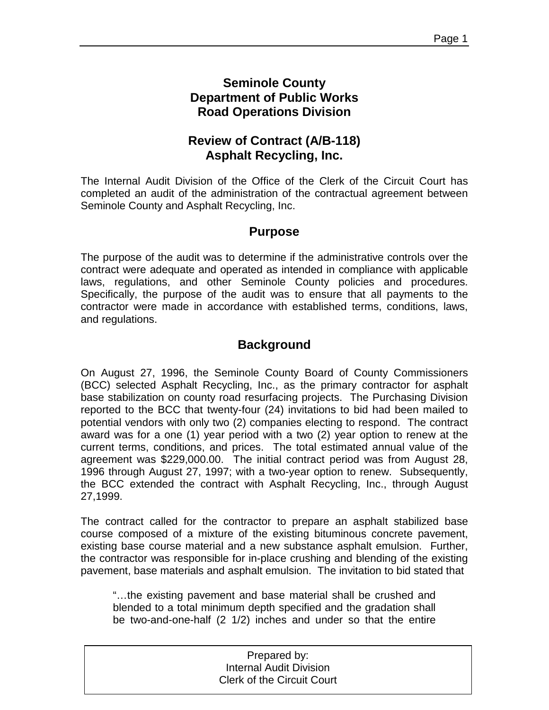## **Seminole County Department of Public Works Road Operations Division**

# **Review of Contract (A/B-118) Asphalt Recycling, Inc.**

The Internal Audit Division of the Office of the Clerk of the Circuit Court has completed an audit of the administration of the contractual agreement between Seminole County and Asphalt Recycling, Inc.

# **Purpose**

The purpose of the audit was to determine if the administrative controls over the contract were adequate and operated as intended in compliance with applicable laws, regulations, and other Seminole County policies and procedures. Specifically, the purpose of the audit was to ensure that all payments to the contractor were made in accordance with established terms, conditions, laws, and regulations.

# **Background**

On August 27, 1996, the Seminole County Board of County Commissioners (BCC) selected Asphalt Recycling, Inc., as the primary contractor for asphalt base stabilization on county road resurfacing projects. The Purchasing Division reported to the BCC that twenty-four (24) invitations to bid had been mailed to potential vendors with only two (2) companies electing to respond. The contract award was for a one (1) year period with a two (2) year option to renew at the current terms, conditions, and prices. The total estimated annual value of the agreement was \$229,000.00. The initial contract period was from August 28, 1996 through August 27, 1997; with a two-year option to renew. Subsequently, the BCC extended the contract with Asphalt Recycling, Inc., through August 27,1999.

The contract called for the contractor to prepare an asphalt stabilized base course composed of a mixture of the existing bituminous concrete pavement, existing base course material and a new substance asphalt emulsion. Further, the contractor was responsible for in-place crushing and blending of the existing pavement, base materials and asphalt emulsion. The invitation to bid stated that

"…the existing pavement and base material shall be crushed and blended to a total minimum depth specified and the gradation shall be two-and-one-half (2 1/2) inches and under so that the entire

| Prepared by:                      |  |
|-----------------------------------|--|
| <b>Internal Audit Division</b>    |  |
| <b>Clerk of the Circuit Court</b> |  |
|                                   |  |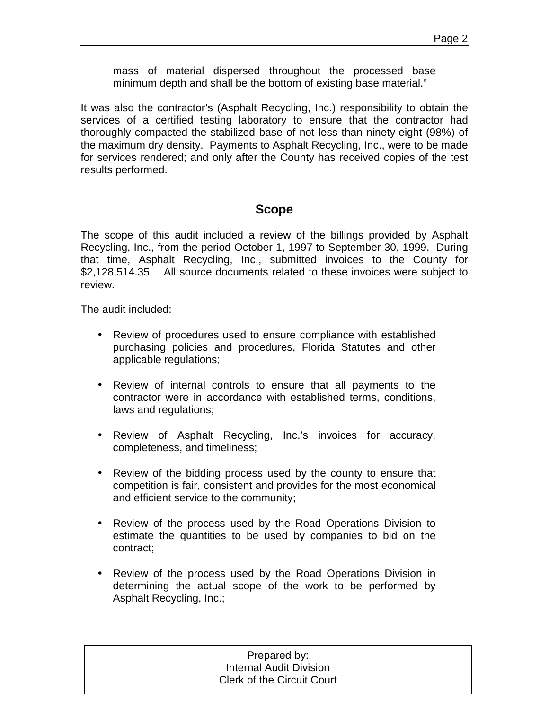mass of material dispersed throughout the processed base minimum depth and shall be the bottom of existing base material."

It was also the contractor's (Asphalt Recycling, Inc.) responsibility to obtain the services of a certified testing laboratory to ensure that the contractor had thoroughly compacted the stabilized base of not less than ninety-eight (98%) of the maximum dry density. Payments to Asphalt Recycling, Inc., were to be made for services rendered; and only after the County has received copies of the test results performed.

# **Scope**

The scope of this audit included a review of the billings provided by Asphalt Recycling, Inc., from the period October 1, 1997 to September 30, 1999. During that time, Asphalt Recycling, Inc., submitted invoices to the County for \$2,128,514.35. All source documents related to these invoices were subject to review.

The audit included:

- Review of procedures used to ensure compliance with established purchasing policies and procedures, Florida Statutes and other applicable regulations;
- Review of internal controls to ensure that all payments to the contractor were in accordance with established terms, conditions, laws and regulations;
- Review of Asphalt Recycling, Inc.'s invoices for accuracy, completeness, and timeliness;
- Review of the bidding process used by the county to ensure that competition is fair, consistent and provides for the most economical and efficient service to the community;
- Review of the process used by the Road Operations Division to estimate the quantities to be used by companies to bid on the contract;
- Review of the process used by the Road Operations Division in determining the actual scope of the work to be performed by Asphalt Recycling, Inc.;

| Prepared by:                      |  |
|-----------------------------------|--|
| <b>Internal Audit Division</b>    |  |
| <b>Clerk of the Circuit Court</b> |  |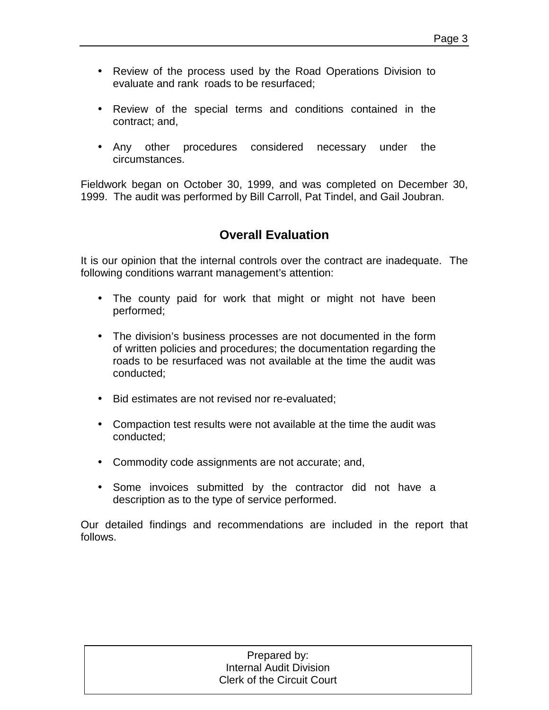- Review of the process used by the Road Operations Division to evaluate and rank roads to be resurfaced;
- Review of the special terms and conditions contained in the contract; and,
- Any other procedures considered necessary under the circumstances.

Fieldwork began on October 30, 1999, and was completed on December 30, 1999. The audit was performed by Bill Carroll, Pat Tindel, and Gail Joubran.

# **Overall Evaluation**

It is our opinion that the internal controls over the contract are inadequate. The following conditions warrant management's attention:

- The county paid for work that might or might not have been performed;
- The division's business processes are not documented in the form of written policies and procedures; the documentation regarding the roads to be resurfaced was not available at the time the audit was conducted;
- Bid estimates are not revised nor re-evaluated;
- Compaction test results were not available at the time the audit was conducted;
- Commodity code assignments are not accurate; and,
- Some invoices submitted by the contractor did not have a description as to the type of service performed.

Our detailed findings and recommendations are included in the report that follows.

#### Prepared by: Prepared by: Internal Audit Division Internal Audit Division Clerk of the Circuit Court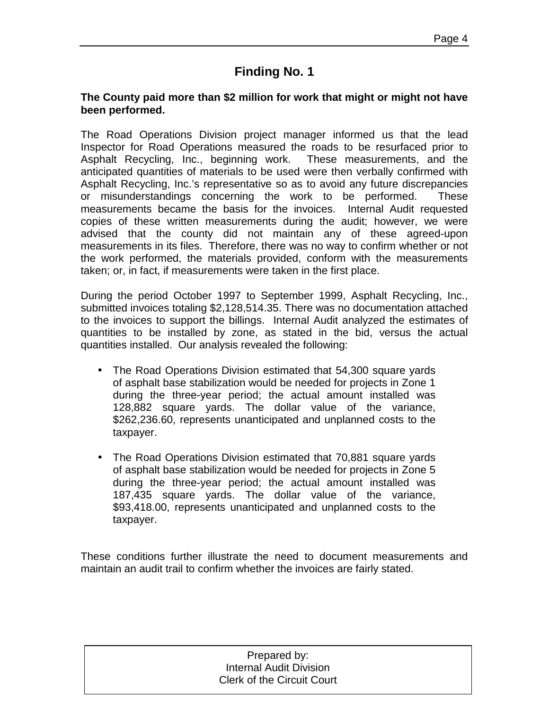### **The County paid more than \$2 million for work that might or might not have been performed.**

The Road Operations Division project manager informed us that the lead Inspector for Road Operations measured the roads to be resurfaced prior to Asphalt Recycling, Inc., beginning work. These measurements, and the anticipated quantities of materials to be used were then verbally confirmed with Asphalt Recycling, Inc.'s representative so as to avoid any future discrepancies or misunderstandings concerning the work to be performed. These measurements became the basis for the invoices. Internal Audit requested copies of these written measurements during the audit; however, we were advised that the county did not maintain any of these agreed-upon measurements in its files. Therefore, there was no way to confirm whether or not the work performed, the materials provided, conform with the measurements taken; or, in fact, if measurements were taken in the first place.

During the period October 1997 to September 1999, Asphalt Recycling, Inc., submitted invoices totaling \$2,128,514.35. There was no documentation attached to the invoices to support the billings. Internal Audit analyzed the estimates of quantities to be installed by zone, as stated in the bid, versus the actual quantities installed. Our analysis revealed the following:

- The Road Operations Division estimated that 54,300 square vards of asphalt base stabilization would be needed for projects in Zone 1 during the three-year period; the actual amount installed was 128,882 square yards. The dollar value of the variance, \$262,236.60, represents unanticipated and unplanned costs to the taxpayer.
- The Road Operations Division estimated that 70,881 square yards of asphalt base stabilization would be needed for projects in Zone 5 during the three-year period; the actual amount installed was 187,435 square yards. The dollar value of the variance, \$93,418.00, represents unanticipated and unplanned costs to the taxpayer.

These conditions further illustrate the need to document measurements and maintain an audit trail to confirm whether the invoices are fairly stated.

| Prepared by:                      |  |
|-----------------------------------|--|
| <b>Internal Audit Division</b>    |  |
| <b>Clerk of the Circuit Court</b> |  |
|                                   |  |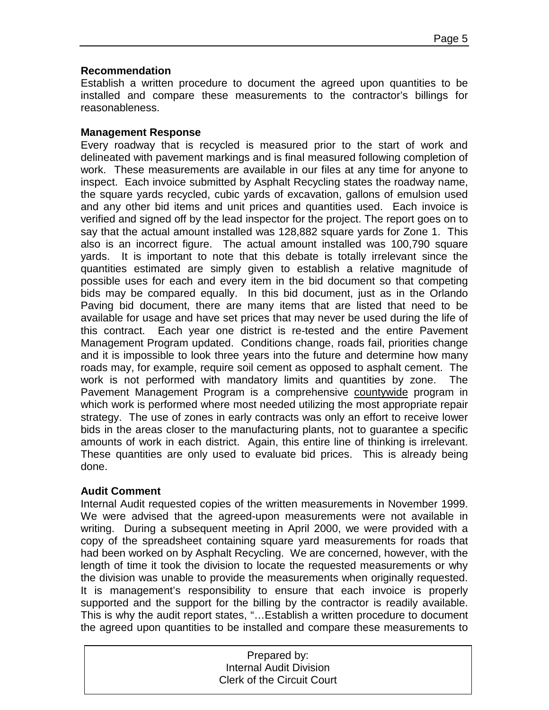### **Recommendation**

Establish a written procedure to document the agreed upon quantities to be installed and compare these measurements to the contractor's billings for reasonableness.

### **Management Response**

Every roadway that is recycled is measured prior to the start of work and delineated with pavement markings and is final measured following completion of work. These measurements are available in our files at any time for anyone to inspect. Each invoice submitted by Asphalt Recycling states the roadway name, the square yards recycled, cubic yards of excavation, gallons of emulsion used and any other bid items and unit prices and quantities used. Each invoice is verified and signed off by the lead inspector for the project. The report goes on to say that the actual amount installed was 128,882 square yards for Zone 1. This also is an incorrect figure. The actual amount installed was 100,790 square yards. It is important to note that this debate is totally irrelevant since the quantities estimated are simply given to establish a relative magnitude of possible uses for each and every item in the bid document so that competing bids may be compared equally. In this bid document, just as in the Orlando Paving bid document, there are many items that are listed that need to be available for usage and have set prices that may never be used during the life of this contract. Each year one district is re-tested and the entire Pavement Management Program updated. Conditions change, roads fail, priorities change and it is impossible to look three years into the future and determine how many roads may, for example, require soil cement as opposed to asphalt cement. The work is not performed with mandatory limits and quantities by zone. The Pavement Management Program is a comprehensive countywide program in which work is performed where most needed utilizing the most appropriate repair strategy. The use of zones in early contracts was only an effort to receive lower bids in the areas closer to the manufacturing plants, not to guarantee a specific amounts of work in each district. Again, this entire line of thinking is irrelevant. These quantities are only used to evaluate bid prices. This is already being done.

### **Audit Comment**

Internal Audit requested copies of the written measurements in November 1999. We were advised that the agreed-upon measurements were not available in writing. During a subsequent meeting in April 2000, we were provided with a copy of the spreadsheet containing square yard measurements for roads that had been worked on by Asphalt Recycling. We are concerned, however, with the length of time it took the division to locate the requested measurements or why the division was unable to provide the measurements when originally requested. It is management's responsibility to ensure that each invoice is properly supported and the support for the billing by the contractor is readily available. This is why the audit report states, "…Establish a written procedure to document the agreed upon quantities to be installed and compare these measurements to

| Prepared by:                      |  |
|-----------------------------------|--|
| <b>Internal Audit Division</b>    |  |
| <b>Clerk of the Circuit Court</b> |  |
|                                   |  |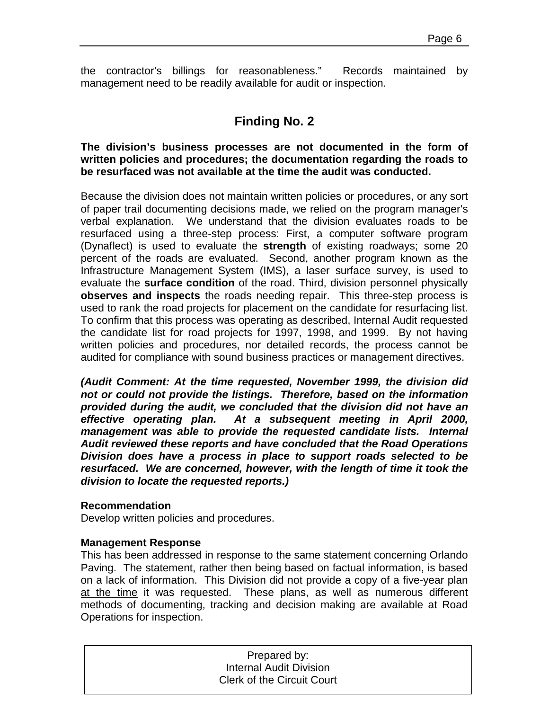the contractor's billings for reasonableness." Records maintained by management need to be readily available for audit or inspection.

# **Finding No. 2**

**The division's business processes are not documented in the form of written policies and procedures; the documentation regarding the roads to be resurfaced was not available at the time the audit was conducted.** 

Because the division does not maintain written policies or procedures, or any sort of paper trail documenting decisions made, we relied on the program manager's verbal explanation. We understand that the division evaluates roads to be resurfaced using a three-step process: First, a computer software program (Dynaflect) is used to evaluate the **strength** of existing roadways; some 20 percent of the roads are evaluated. Second, another program known as the Infrastructure Management System (IMS), a laser surface survey, is used to evaluate the **surface condition** of the road. Third, division personnel physically **observes and inspects** the roads needing repair. This three-step process is used to rank the road projects for placement on the candidate for resurfacing list. To confirm that this process was operating as described, Internal Audit requested the candidate list for road projects for 1997, 1998, and 1999. By not having written policies and procedures, nor detailed records, the process cannot be audited for compliance with sound business practices or management directives.

*(Audit Comment: At the time requested, November 1999, the division did not or could not provide the listings. Therefore, based on the information provided during the audit, we concluded that the division did not have an effective operating plan. At a subsequent meeting in April 2000, management was able to provide the requested candidate lists. Internal Audit reviewed these reports and have concluded that the Road Operations Division does have a process in place to support roads selected to be resurfaced. We are concerned, however, with the length of time it took the division to locate the requested reports.)* 

### **Recommendation**

Develop written policies and procedures.

### **Management Response**

This has been addressed in response to the same statement concerning Orlando Paving. The statement, rather then being based on factual information, is based on a lack of information. This Division did not provide a copy of a five-year plan at the time it was requested. These plans, as well as numerous different methods of documenting, tracking and decision making are available at Road Operations for inspection.

| Prepared by:                      |
|-----------------------------------|
| <b>Internal Audit Division</b>    |
| <b>Clerk of the Circuit Court</b> |
|                                   |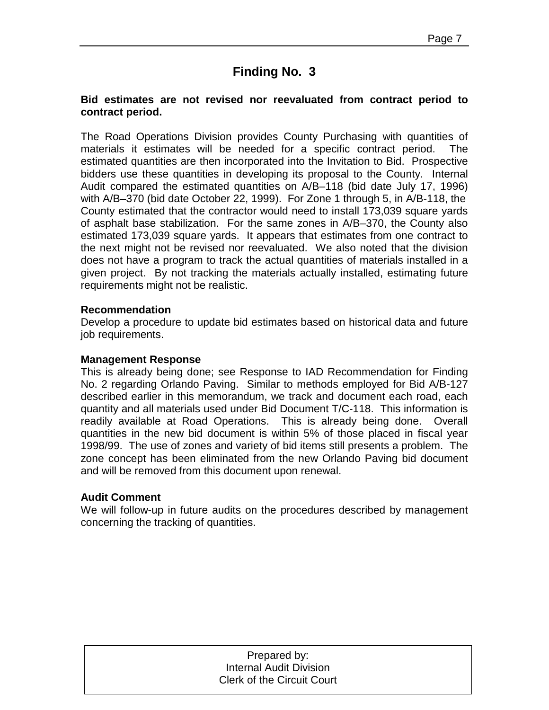### **Bid estimates are not revised nor reevaluated from contract period to contract period.**

The Road Operations Division provides County Purchasing with quantities of materials it estimates will be needed for a specific contract period. The estimated quantities are then incorporated into the Invitation to Bid. Prospective bidders use these quantities in developing its proposal to the County. Internal Audit compared the estimated quantities on A/B–118 (bid date July 17, 1996) with A/B–370 (bid date October 22, 1999). For Zone 1 through 5, in A/B-118, the County estimated that the contractor would need to install 173,039 square yards of asphalt base stabilization. For the same zones in A/B–370, the County also estimated 173,039 square yards. It appears that estimates from one contract to the next might not be revised nor reevaluated. We also noted that the division does not have a program to track the actual quantities of materials installed in a given project. By not tracking the materials actually installed, estimating future requirements might not be realistic.

### **Recommendation**

Develop a procedure to update bid estimates based on historical data and future job requirements.

### **Management Response**

This is already being done; see Response to IAD Recommendation for Finding No. 2 regarding Orlando Paving. Similar to methods employed for Bid A/B-127 described earlier in this memorandum, we track and document each road, each quantity and all materials used under Bid Document T/C-118. This information is readily available at Road Operations. This is already being done. Overall quantities in the new bid document is within 5% of those placed in fiscal year 1998/99. The use of zones and variety of bid items still presents a problem. The zone concept has been eliminated from the new Orlando Paving bid document and will be removed from this document upon renewal.

### **Audit Comment**

We will follow-up in future audits on the procedures described by management concerning the tracking of quantities.

| Prepared by:                      |
|-----------------------------------|
| <b>Internal Audit Division</b>    |
| <b>Clerk of the Circuit Court</b> |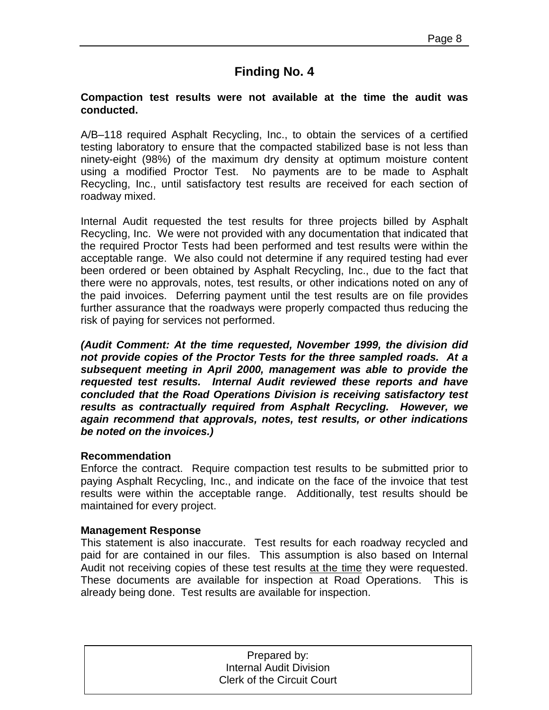### **Compaction test results were not available at the time the audit was conducted.**

A/B–118 required Asphalt Recycling, Inc., to obtain the services of a certified testing laboratory to ensure that the compacted stabilized base is not less than ninety-eight (98%) of the maximum dry density at optimum moisture content using a modified Proctor Test. No payments are to be made to Asphalt Recycling, Inc., until satisfactory test results are received for each section of roadway mixed.

Internal Audit requested the test results for three projects billed by Asphalt Recycling, Inc. We were not provided with any documentation that indicated that the required Proctor Tests had been performed and test results were within the acceptable range. We also could not determine if any required testing had ever been ordered or been obtained by Asphalt Recycling, Inc., due to the fact that there were no approvals, notes, test results, or other indications noted on any of the paid invoices. Deferring payment until the test results are on file provides further assurance that the roadways were properly compacted thus reducing the risk of paying for services not performed.

*(Audit Comment: At the time requested, November 1999, the division did not provide copies of the Proctor Tests for the three sampled roads. At a subsequent meeting in April 2000, management was able to provide the requested test results. Internal Audit reviewed these reports and have concluded that the Road Operations Division is receiving satisfactory test results as contractually required from Asphalt Recycling. However, we again recommend that approvals, notes, test results, or other indications be noted on the invoices.)* 

### **Recommendation**

Enforce the contract. Require compaction test results to be submitted prior to paying Asphalt Recycling, Inc., and indicate on the face of the invoice that test results were within the acceptable range. Additionally, test results should be maintained for every project.

### **Management Response**

This statement is also inaccurate. Test results for each roadway recycled and paid for are contained in our files. This assumption is also based on Internal Audit not receiving copies of these test results at the time they were requested. These documents are available for inspection at Road Operations. This is already being done. Test results are available for inspection.

| Prepared by:                      |  |
|-----------------------------------|--|
| <b>Internal Audit Division</b>    |  |
| <b>Clerk of the Circuit Court</b> |  |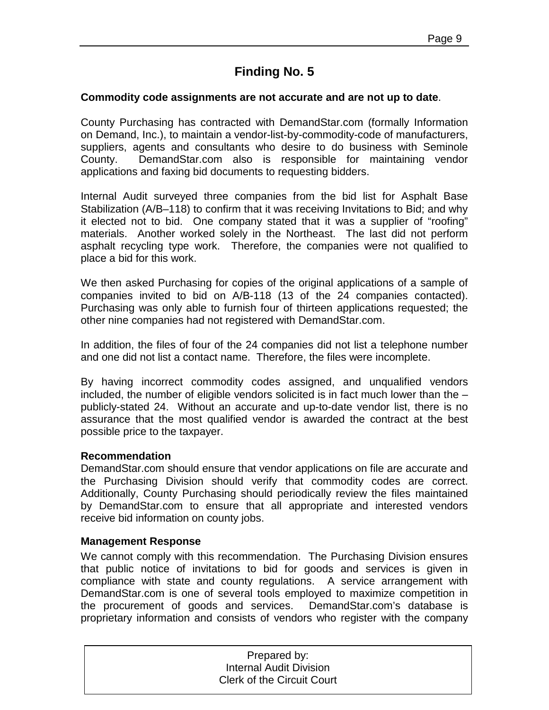### **Commodity code assignments are not accurate and are not up to date**.

County Purchasing has contracted with DemandStar.com (formally Information on Demand, Inc.), to maintain a vendor-list-by-commodity-code of manufacturers, suppliers, agents and consultants who desire to do business with Seminole County. DemandStar.com also is responsible for maintaining vendor applications and faxing bid documents to requesting bidders.

Internal Audit surveyed three companies from the bid list for Asphalt Base Stabilization (A/B–118) to confirm that it was receiving Invitations to Bid; and why it elected not to bid. One company stated that it was a supplier of "roofing" materials. Another worked solely in the Northeast. The last did not perform asphalt recycling type work. Therefore, the companies were not qualified to place a bid for this work.

We then asked Purchasing for copies of the original applications of a sample of companies invited to bid on A/B-118 (13 of the 24 companies contacted). Purchasing was only able to furnish four of thirteen applications requested; the other nine companies had not registered with DemandStar.com.

In addition, the files of four of the 24 companies did not list a telephone number and one did not list a contact name. Therefore, the files were incomplete.

By having incorrect commodity codes assigned, and unqualified vendors included, the number of eligible vendors solicited is in fact much lower than the – publicly-stated 24. Without an accurate and up-to-date vendor list, there is no assurance that the most qualified vendor is awarded the contract at the best possible price to the taxpayer.

### **Recommendation**

DemandStar.com should ensure that vendor applications on file are accurate and the Purchasing Division should verify that commodity codes are correct. Additionally, County Purchasing should periodically review the files maintained by DemandStar.com to ensure that all appropriate and interested vendors receive bid information on county jobs.

### **Management Response**

We cannot comply with this recommendation. The Purchasing Division ensures that public notice of invitations to bid for goods and services is given in compliance with state and county regulations. A service arrangement with DemandStar.com is one of several tools employed to maximize competition in the procurement of goods and services. DemandStar.com's database is proprietary information and consists of vendors who register with the company

| Prepared by:                      |
|-----------------------------------|
| <b>Internal Audit Division</b>    |
| <b>Clerk of the Circuit Court</b> |
|                                   |